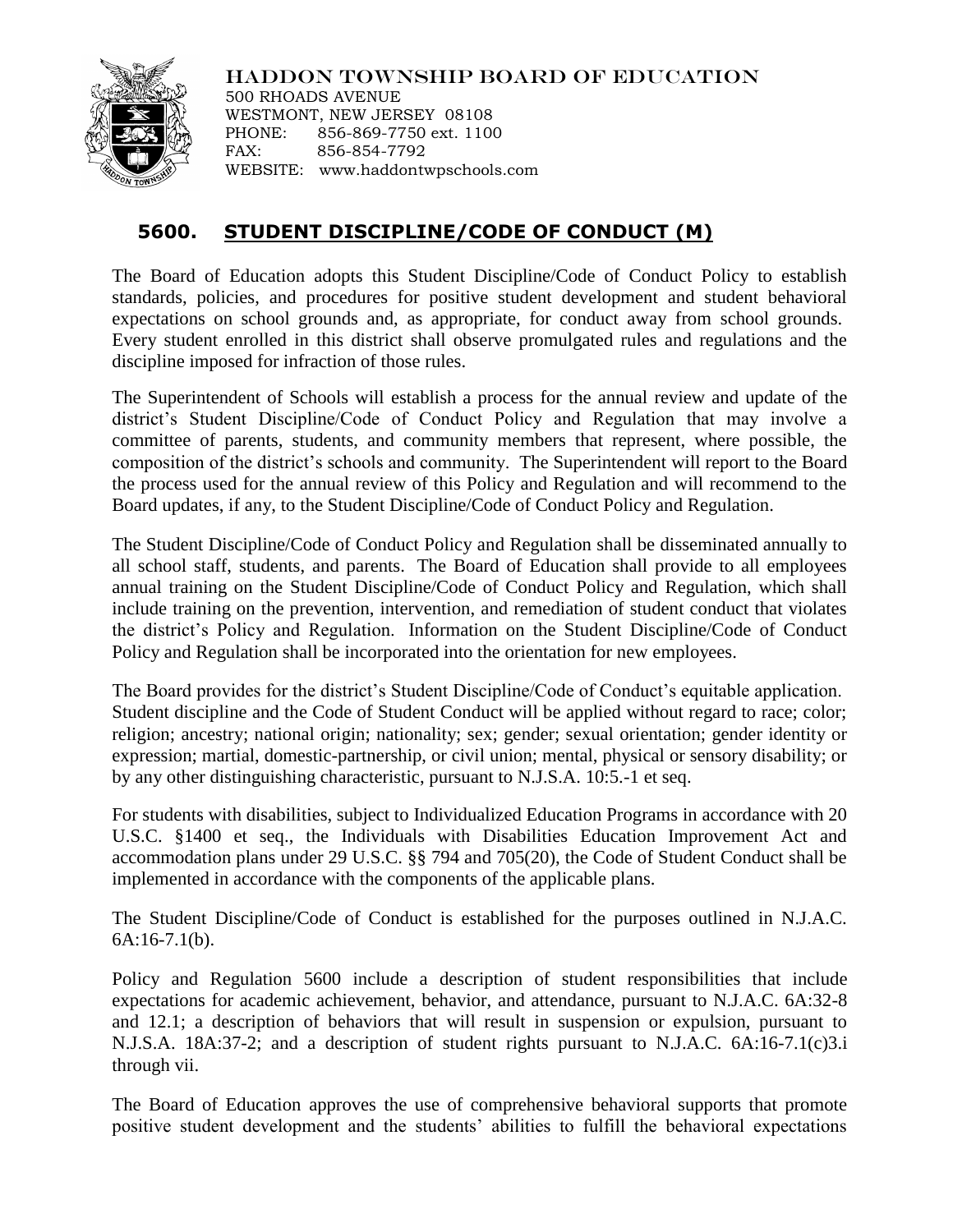

HADDON TOWNSHIP BOARD OF EDUCATION

500 RHOADS AVENUE WESTMONT, NEW JERSEY 08108 PHONE: 856-869-7750 ext. 1100 FAX: 856-854-7792 WEBSITE: www.haddontwpschools.com

## **5600. STUDENT DISCIPLINE/CODE OF CONDUCT (M)**

The Board of Education adopts this Student Discipline/Code of Conduct Policy to establish standards, policies, and procedures for positive student development and student behavioral expectations on school grounds and, as appropriate, for conduct away from school grounds. Every student enrolled in this district shall observe promulgated rules and regulations and the discipline imposed for infraction of those rules.

The Superintendent of Schools will establish a process for the annual review and update of the district's Student Discipline/Code of Conduct Policy and Regulation that may involve a committee of parents, students, and community members that represent, where possible, the composition of the district's schools and community. The Superintendent will report to the Board the process used for the annual review of this Policy and Regulation and will recommend to the Board updates, if any, to the Student Discipline/Code of Conduct Policy and Regulation.

The Student Discipline/Code of Conduct Policy and Regulation shall be disseminated annually to all school staff, students, and parents. The Board of Education shall provide to all employees annual training on the Student Discipline/Code of Conduct Policy and Regulation, which shall include training on the prevention, intervention, and remediation of student conduct that violates the district's Policy and Regulation. Information on the Student Discipline/Code of Conduct Policy and Regulation shall be incorporated into the orientation for new employees.

The Board provides for the district's Student Discipline/Code of Conduct's equitable application. Student discipline and the Code of Student Conduct will be applied without regard to race; color; religion; ancestry; national origin; nationality; sex; gender; sexual orientation; gender identity or expression; martial, domestic-partnership, or civil union; mental, physical or sensory disability; or by any other distinguishing characteristic, pursuant to N.J.S.A. 10:5.-1 et seq.

For students with disabilities, subject to Individualized Education Programs in accordance with 20 U.S.C. §1400 et seq., the Individuals with Disabilities Education Improvement Act and accommodation plans under 29 U.S.C. §§ 794 and 705(20), the Code of Student Conduct shall be implemented in accordance with the components of the applicable plans.

The Student Discipline/Code of Conduct is established for the purposes outlined in N.J.A.C. 6A:16-7.1(b).

Policy and Regulation 5600 include a description of student responsibilities that include expectations for academic achievement, behavior, and attendance, pursuant to N.J.A.C. 6A:32-8 and 12.1; a description of behaviors that will result in suspension or expulsion, pursuant to N.J.S.A. 18A:37-2; and a description of student rights pursuant to N.J.A.C. 6A:16-7.1(c)3.i through vii.

The Board of Education approves the use of comprehensive behavioral supports that promote positive student development and the students' abilities to fulfill the behavioral expectations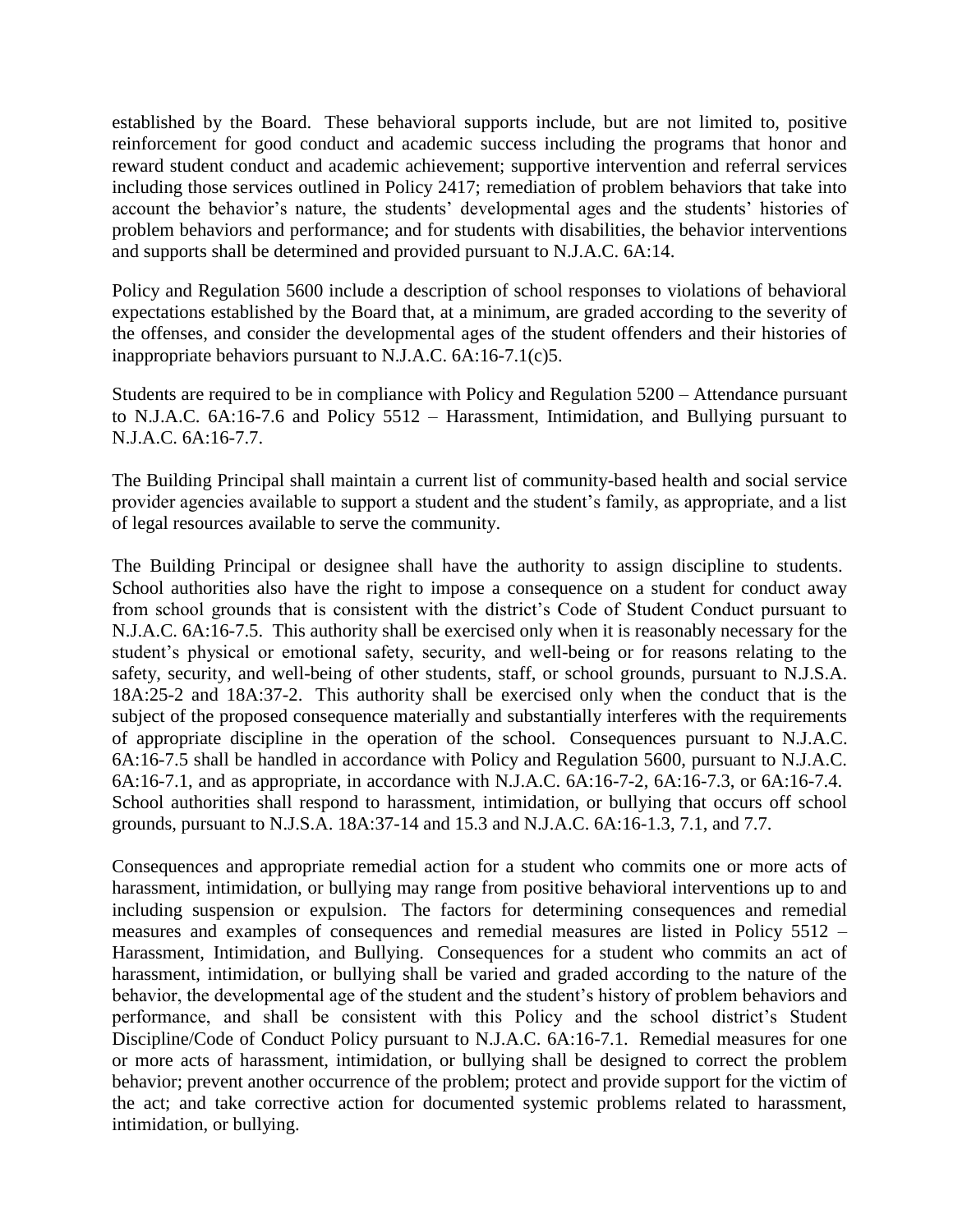established by the Board. These behavioral supports include, but are not limited to, positive reinforcement for good conduct and academic success including the programs that honor and reward student conduct and academic achievement; supportive intervention and referral services including those services outlined in Policy 2417; remediation of problem behaviors that take into account the behavior's nature, the students' developmental ages and the students' histories of problem behaviors and performance; and for students with disabilities, the behavior interventions and supports shall be determined and provided pursuant to N.J.A.C. 6A:14.

Policy and Regulation 5600 include a description of school responses to violations of behavioral expectations established by the Board that, at a minimum, are graded according to the severity of the offenses, and consider the developmental ages of the student offenders and their histories of inappropriate behaviors pursuant to N.J.A.C. 6A:16-7.1(c)5.

Students are required to be in compliance with Policy and Regulation 5200 – Attendance pursuant to N.J.A.C. 6A:16-7.6 and Policy 5512 – Harassment, Intimidation, and Bullying pursuant to N.J.A.C. 6A:16-7.7.

The Building Principal shall maintain a current list of community-based health and social service provider agencies available to support a student and the student's family, as appropriate, and a list of legal resources available to serve the community.

The Building Principal or designee shall have the authority to assign discipline to students. School authorities also have the right to impose a consequence on a student for conduct away from school grounds that is consistent with the district's Code of Student Conduct pursuant to N.J.A.C. 6A:16-7.5. This authority shall be exercised only when it is reasonably necessary for the student's physical or emotional safety, security, and well-being or for reasons relating to the safety, security, and well-being of other students, staff, or school grounds, pursuant to N.J.S.A. 18A:25-2 and 18A:37-2. This authority shall be exercised only when the conduct that is the subject of the proposed consequence materially and substantially interferes with the requirements of appropriate discipline in the operation of the school. Consequences pursuant to N.J.A.C. 6A:16-7.5 shall be handled in accordance with Policy and Regulation 5600, pursuant to N.J.A.C. 6A:16-7.1, and as appropriate, in accordance with N.J.A.C. 6A:16-7-2, 6A:16-7.3, or 6A:16-7.4. School authorities shall respond to harassment, intimidation, or bullying that occurs off school grounds, pursuant to N.J.S.A. 18A:37-14 and 15.3 and N.J.A.C. 6A:16-1.3, 7.1, and 7.7.

Consequences and appropriate remedial action for a student who commits one or more acts of harassment, intimidation, or bullying may range from positive behavioral interventions up to and including suspension or expulsion. The factors for determining consequences and remedial measures and examples of consequences and remedial measures are listed in Policy 5512 – Harassment, Intimidation, and Bullying. Consequences for a student who commits an act of harassment, intimidation, or bullying shall be varied and graded according to the nature of the behavior, the developmental age of the student and the student's history of problem behaviors and performance, and shall be consistent with this Policy and the school district's Student Discipline/Code of Conduct Policy pursuant to N.J.A.C. 6A:16-7.1. Remedial measures for one or more acts of harassment, intimidation, or bullying shall be designed to correct the problem behavior; prevent another occurrence of the problem; protect and provide support for the victim of the act; and take corrective action for documented systemic problems related to harassment, intimidation, or bullying.